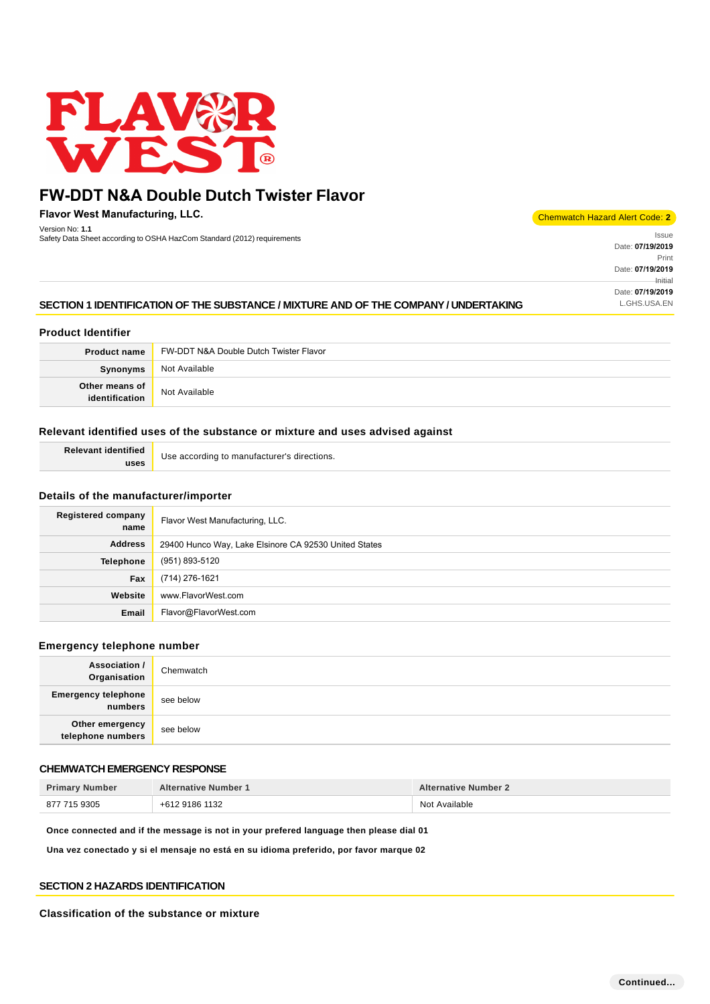

**Flavor West Manufacturing, LLC.** Version No: **1.1**

version NO. 1.1<br>Safety Data Sheet according to OSHA HazCom Standard (2012) requirements International International International International International International International International International Internat

#### Chemwatch Hazard Alert Code: **2**

Date: **07/19/2019**  Print Date: **07/19/2019**  Initial Date: **07/19/2019** 

# **SECTION 1 IDENTIFICATION OF THE SUBSTANCE / MIXTURE AND OF THE COMPANY / UNDERTAKING LESPIS LONG AND ALGHS.USA.EN**

# **Product Identifier**

| <b>Product name</b>              | FW-DDT N&A Double Dutch Twister Flavor |
|----------------------------------|----------------------------------------|
| Synonyms                         | Not Available                          |
| Other means of<br>identification | Not Available                          |

# **Relevant identified uses of the substance or mixture and uses advised against**

| <b>Relevant identified</b> | Use according to manufacturer's directions. |
|----------------------------|---------------------------------------------|
| uses                       |                                             |

## **Details of the manufacturer/importer**

| <b>Registered company</b><br>name | Flavor West Manufacturing, LLC.                       |
|-----------------------------------|-------------------------------------------------------|
| <b>Address</b>                    | 29400 Hunco Way, Lake Elsinore CA 92530 United States |
| <b>Telephone</b>                  | (951) 893-5120                                        |
| Fax                               | (714) 276-1621                                        |
| Website                           | www.FlavorWest.com                                    |
| Email                             | Flavor@FlavorWest.com                                 |

## **Emergency telephone number**

| <b>Association /</b><br>Organisation  | Chemwatch |
|---------------------------------------|-----------|
| <b>Emergency telephone</b><br>numbers | see below |
| Other emergency<br>telephone numbers  | see below |

# **CHEMWATCH EMERGENCY RESPONSE**

| <b>Primary Number</b> | <b>Alternative Number 1</b> | <b>Alternative Number 2</b> |
|-----------------------|-----------------------------|-----------------------------|
| 877 715 9305          | +612 9186 1132              | Not Available               |

**Once connected and if the message is not in your prefered language then please dial 01**

**Una vez conectado y si el mensaje no está en su idioma preferido, por favor marque 02**

### **SECTION 2 HAZARDS IDENTIFICATION**

### **Classification of the substance or mixture**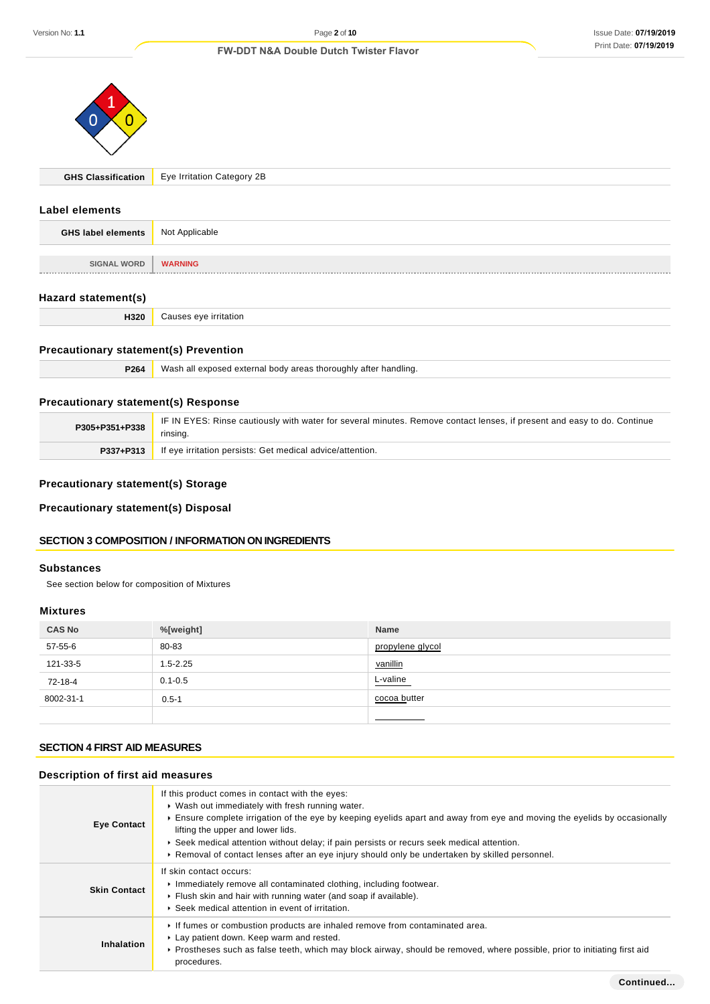

**GHS Classification** Eye Irritation Category 2B

# **Label elements**

| <b>GHS label elements</b> | Not Applicable |
|---------------------------|----------------|
|                           |                |
| <b>SIGNAL WORD</b>        | <b>WARNING</b> |
| --------------            |                |

# **Hazard statement(s)**

|  | <b>H320</b> Causes eye irritation |
|--|-----------------------------------|
|  |                                   |

# **Precautionary statement(s) Prevention**

| P264 | Wash all exposed external body areas thoroughly after handling. |
|------|-----------------------------------------------------------------|
|------|-----------------------------------------------------------------|

# **Precautionary statement(s) Response**

| P305+P351+P338 | IF IN EYES: Rinse cautiously with water for several minutes. Remove contact lenses, if present and easy to do. Continue<br>rinsing. |
|----------------|-------------------------------------------------------------------------------------------------------------------------------------|
| P337+P313      | If eye irritation persists: Get medical advice/attention.                                                                           |

# **Precautionary statement(s) Storage**

**Precautionary statement(s) Disposal**

# **SECTION 3 COMPOSITION / INFORMATION ON INGREDIENTS**

# **Substances**

See section below for composition of Mixtures

# **Mixtures**

| <b>CAS No</b> | %[weight]    | Name             |
|---------------|--------------|------------------|
| 57-55-6       | 80-83        | propylene glycol |
| 121-33-5      | $1.5 - 2.25$ | vanillin         |
| 72-18-4       | $0.1 - 0.5$  | L-valine         |
| 8002-31-1     | $0.5 - 1$    | cocoa butter     |
|               |              |                  |

# **SECTION 4 FIRST AID MEASURES**

# **Description of first aid measures**

| <b>Eye Contact</b>  | If this product comes in contact with the eyes:<br>▶ Wash out immediately with fresh running water.<br>Ensure complete irrigation of the eye by keeping eyelids apart and away from eye and moving the eyelids by occasionally<br>lifting the upper and lower lids.<br>► Seek medical attention without delay; if pain persists or recurs seek medical attention.<br>► Removal of contact lenses after an eye injury should only be undertaken by skilled personnel. |
|---------------------|----------------------------------------------------------------------------------------------------------------------------------------------------------------------------------------------------------------------------------------------------------------------------------------------------------------------------------------------------------------------------------------------------------------------------------------------------------------------|
| <b>Skin Contact</b> | If skin contact occurs:<br>Inmediately remove all contaminated clothing, including footwear.<br>Flush skin and hair with running water (and soap if available).<br>▶ Seek medical attention in event of irritation.                                                                                                                                                                                                                                                  |
| Inhalation          | If fumes or combustion products are inhaled remove from contaminated area.<br>Lay patient down. Keep warm and rested.<br>► Prostheses such as false teeth, which may block airway, should be removed, where possible, prior to initiating first aid<br>procedures.                                                                                                                                                                                                   |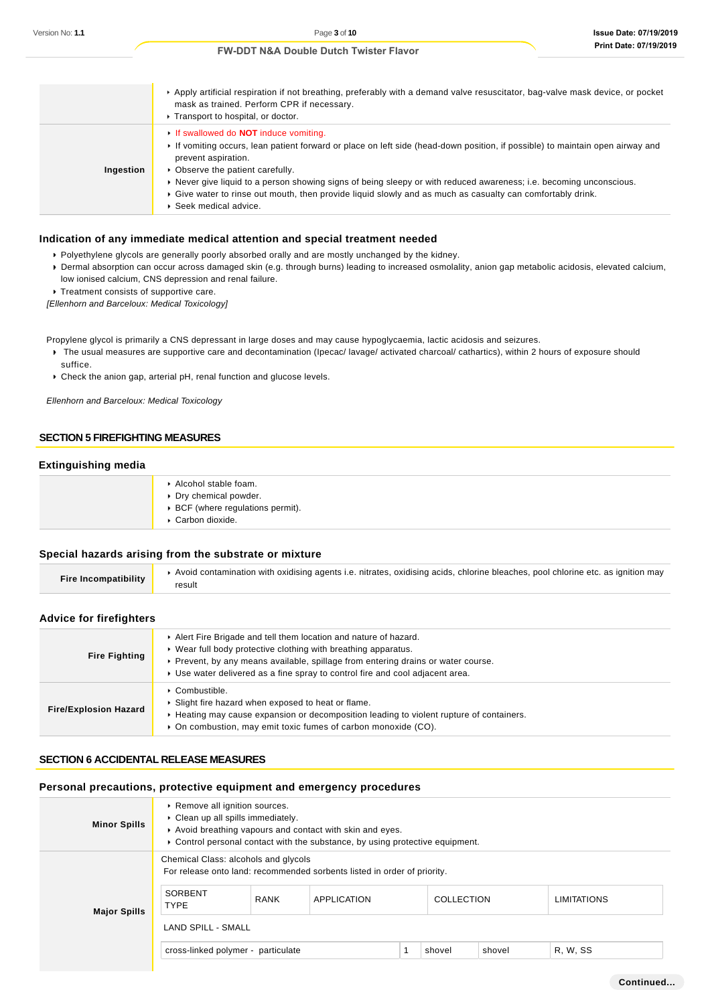|           | Apply artificial respiration if not breathing, preferably with a demand valve resuscitator, bag-valve mask device, or pocket<br>mask as trained. Perform CPR if necessary.<br>▶ Transport to hospital, or doctor.                                                                                                                                                                                                                                                                                   |
|-----------|-----------------------------------------------------------------------------------------------------------------------------------------------------------------------------------------------------------------------------------------------------------------------------------------------------------------------------------------------------------------------------------------------------------------------------------------------------------------------------------------------------|
| Ingestion | If swallowed do <b>NOT</b> induce vomiting.<br>If vomiting occurs, lean patient forward or place on left side (head-down position, if possible) to maintain open airway and<br>prevent aspiration.<br>• Observe the patient carefully.<br>▶ Never give liquid to a person showing signs of being sleepy or with reduced awareness; i.e. becoming unconscious.<br>Give water to rinse out mouth, then provide liquid slowly and as much as casualty can comfortably drink.<br>▶ Seek medical advice. |

## **Indication of any immediate medical attention and special treatment needed**

- Polyethylene glycols are generally poorly absorbed orally and are mostly unchanged by the kidney.
- Dermal absorption can occur across damaged skin (e.g. through burns) leading to increased osmolality, anion gap metabolic acidosis, elevated calcium, low ionised calcium, CNS depression and renal failure.
- **Treatment consists of supportive care.**

[Ellenhorn and Barceloux: Medical Toxicology]

Propylene glycol is primarily a CNS depressant in large doses and may cause hypoglycaemia, lactic acidosis and seizures.

- The usual measures are supportive care and decontamination (Ipecac/ lavage/ activated charcoal/ cathartics), within 2 hours of exposure should suffice.
- Check the anion gap, arterial pH, renal function and glucose levels.

Ellenhorn and Barceloux: Medical Toxicology

### **SECTION 5 FIREFIGHTING MEASURES**

# **Extinguishing media**

| Alcohol stable foam.<br>▶ Dry chemical powder.       |
|------------------------------------------------------|
| ▶ BCF (where regulations permit).<br>Carbon dioxide. |

## **Special hazards arising from the substrate or mixture**

| Fire Incompatibility | Avoid contamination with oxidising agents i.e. nitrates, oxidising acids, chlorine bleaches, pool chlorine etc. as ignition may |
|----------------------|---------------------------------------------------------------------------------------------------------------------------------|
|                      | result                                                                                                                          |

# **Advice for firefighters**

| <b>Fire Fighting</b>         | Alert Fire Brigade and tell them location and nature of hazard.<br>▶ Wear full body protective clothing with breathing apparatus.<br>• Prevent, by any means available, spillage from entering drains or water course.<br>► Use water delivered as a fine spray to control fire and cool adjacent area. |
|------------------------------|---------------------------------------------------------------------------------------------------------------------------------------------------------------------------------------------------------------------------------------------------------------------------------------------------------|
| <b>Fire/Explosion Hazard</b> | Combustible.<br>• Slight fire hazard when exposed to heat or flame.<br>► Heating may cause expansion or decomposition leading to violent rupture of containers.<br>• On combustion, may emit toxic fumes of carbon monoxide (CO).                                                                       |

#### **SECTION 6 ACCIDENTAL RELEASE MEASURES**

## **Personal precautions, protective equipment and emergency procedures**

| <b>Minor Spills</b> | Remove all ignition sources.<br>• Clean up all spills immediately.<br>Avoid breathing vapours and contact with skin and eyes.<br>► Control personal contact with the substance, by using protective equipment. |             |                                                                                         |  |            |        |                    |
|---------------------|----------------------------------------------------------------------------------------------------------------------------------------------------------------------------------------------------------------|-------------|-----------------------------------------------------------------------------------------|--|------------|--------|--------------------|
| <b>Major Spills</b> | Chemical Class: alcohols and glycols<br><b>SORBENT</b><br><b>TYPE</b>                                                                                                                                          | <b>RANK</b> | For release onto land: recommended sorbents listed in order of priority.<br>APPLICATION |  | COLLECTION |        | <b>LIMITATIONS</b> |
|                     | <b>LAND SPILL - SMALL</b><br>cross-linked polymer - particulate                                                                                                                                                |             |                                                                                         |  | shovel     | shovel | R. W. SS           |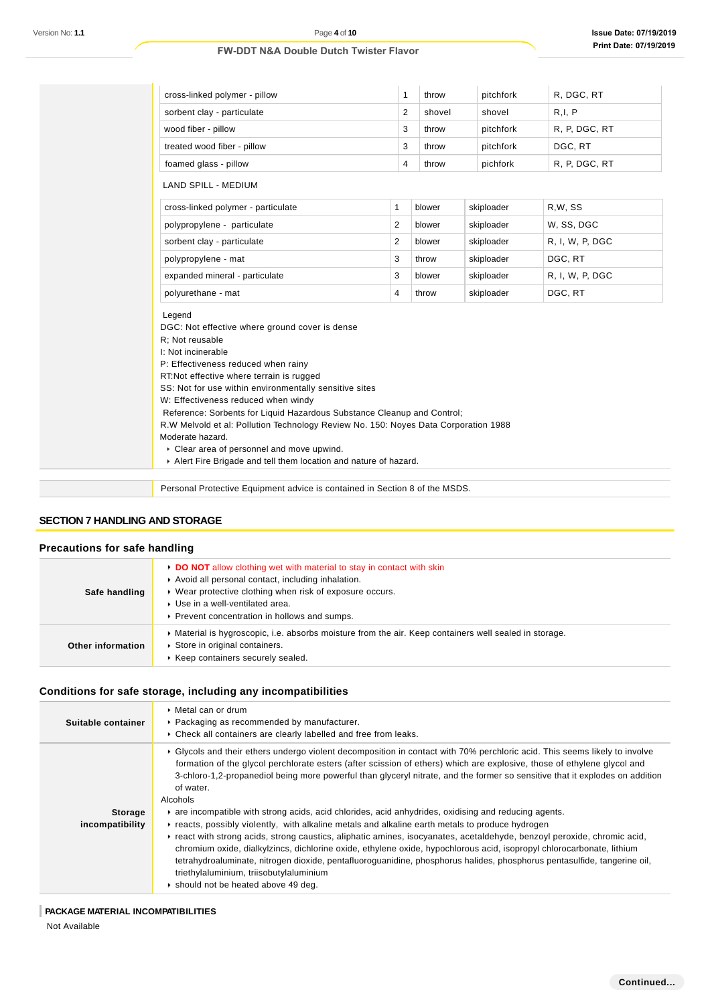| Version No: 1.1                                     | Page 4 of 10<br><b>FW-DDT N&amp;A Double Dutch Twister Flavor</b>                                                                                                                                                                                                                                                                                                                                                                                                                                                                                                                                                                                                                                                                                                                                                                                                                                                                                                                                                                                                                          |                |        |            | <b>Issue Date: 07/19/2</b><br><b>Print Date: 07/19/2</b> |  |
|-----------------------------------------------------|--------------------------------------------------------------------------------------------------------------------------------------------------------------------------------------------------------------------------------------------------------------------------------------------------------------------------------------------------------------------------------------------------------------------------------------------------------------------------------------------------------------------------------------------------------------------------------------------------------------------------------------------------------------------------------------------------------------------------------------------------------------------------------------------------------------------------------------------------------------------------------------------------------------------------------------------------------------------------------------------------------------------------------------------------------------------------------------------|----------------|--------|------------|----------------------------------------------------------|--|
|                                                     |                                                                                                                                                                                                                                                                                                                                                                                                                                                                                                                                                                                                                                                                                                                                                                                                                                                                                                                                                                                                                                                                                            |                |        |            |                                                          |  |
|                                                     | cross-linked polymer - pillow                                                                                                                                                                                                                                                                                                                                                                                                                                                                                                                                                                                                                                                                                                                                                                                                                                                                                                                                                                                                                                                              | $\mathbf{1}$   | throw  | pitchfork  | R, DGC, RT                                               |  |
|                                                     | sorbent clay - particulate                                                                                                                                                                                                                                                                                                                                                                                                                                                                                                                                                                                                                                                                                                                                                                                                                                                                                                                                                                                                                                                                 | $\overline{2}$ | shovel | shovel     | R, I, P                                                  |  |
|                                                     | wood fiber - pillow                                                                                                                                                                                                                                                                                                                                                                                                                                                                                                                                                                                                                                                                                                                                                                                                                                                                                                                                                                                                                                                                        | 3              | throw  | pitchfork  | R, P, DGC, RT                                            |  |
|                                                     | treated wood fiber - pillow                                                                                                                                                                                                                                                                                                                                                                                                                                                                                                                                                                                                                                                                                                                                                                                                                                                                                                                                                                                                                                                                | 3              | throw  | pitchfork  | DGC, RT                                                  |  |
|                                                     | foamed glass - pillow                                                                                                                                                                                                                                                                                                                                                                                                                                                                                                                                                                                                                                                                                                                                                                                                                                                                                                                                                                                                                                                                      | 4              | throw  | pichfork   | R, P, DGC, RT                                            |  |
|                                                     | <b>LAND SPILL - MEDIUM</b>                                                                                                                                                                                                                                                                                                                                                                                                                                                                                                                                                                                                                                                                                                                                                                                                                                                                                                                                                                                                                                                                 |                |        |            |                                                          |  |
|                                                     | cross-linked polymer - particulate                                                                                                                                                                                                                                                                                                                                                                                                                                                                                                                                                                                                                                                                                                                                                                                                                                                                                                                                                                                                                                                         | $\mathbf{1}$   | blower | skiploader | R,W, SS                                                  |  |
|                                                     | polypropylene - particulate                                                                                                                                                                                                                                                                                                                                                                                                                                                                                                                                                                                                                                                                                                                                                                                                                                                                                                                                                                                                                                                                | $\overline{2}$ | blower | skiploader | W, SS, DGC                                               |  |
|                                                     | sorbent clay - particulate                                                                                                                                                                                                                                                                                                                                                                                                                                                                                                                                                                                                                                                                                                                                                                                                                                                                                                                                                                                                                                                                 | 2              | blower | skiploader | R, I, W, P, DGC                                          |  |
|                                                     | polypropylene - mat                                                                                                                                                                                                                                                                                                                                                                                                                                                                                                                                                                                                                                                                                                                                                                                                                                                                                                                                                                                                                                                                        | 3              | throw  | skiploader | DGC, RT                                                  |  |
|                                                     | expanded mineral - particulate                                                                                                                                                                                                                                                                                                                                                                                                                                                                                                                                                                                                                                                                                                                                                                                                                                                                                                                                                                                                                                                             | 3              | blower | skiploader | R, I, W, P, DGC                                          |  |
|                                                     | polyurethane - mat                                                                                                                                                                                                                                                                                                                                                                                                                                                                                                                                                                                                                                                                                                                                                                                                                                                                                                                                                                                                                                                                         | $\overline{4}$ | throw  | skiploader | DGC, RT                                                  |  |
|                                                     | P: Effectiveness reduced when rainy<br>RT:Not effective where terrain is rugged<br>SS: Not for use within environmentally sensitive sites<br>W: Effectiveness reduced when windy<br>Reference: Sorbents for Liquid Hazardous Substance Cleanup and Control;<br>R.W Melvold et al: Pollution Technology Review No. 150: Noyes Data Corporation 1988<br>Moderate hazard.<br>• Clear area of personnel and move upwind.<br>Alert Fire Brigade and tell them location and nature of hazard.                                                                                                                                                                                                                                                                                                                                                                                                                                                                                                                                                                                                    |                |        |            |                                                          |  |
|                                                     | Personal Protective Equipment advice is contained in Section 8 of the MSDS.                                                                                                                                                                                                                                                                                                                                                                                                                                                                                                                                                                                                                                                                                                                                                                                                                                                                                                                                                                                                                |                |        |            |                                                          |  |
| <b>SECTION 7 HANDLING AND STORAGE</b>               |                                                                                                                                                                                                                                                                                                                                                                                                                                                                                                                                                                                                                                                                                                                                                                                                                                                                                                                                                                                                                                                                                            |                |        |            |                                                          |  |
| <b>Precautions for safe handling</b>                |                                                                                                                                                                                                                                                                                                                                                                                                                                                                                                                                                                                                                                                                                                                                                                                                                                                                                                                                                                                                                                                                                            |                |        |            |                                                          |  |
| Safe handling                                       | DO NOT allow clothing wet with material to stay in contact with skin<br>Avoid all personal contact, including inhalation.<br>▶ Wear protective clothing when risk of exposure occurs.<br>Use in a well-ventilated area.<br>Prevent concentration in hollows and sumps.                                                                                                                                                                                                                                                                                                                                                                                                                                                                                                                                                                                                                                                                                                                                                                                                                     |                |        |            |                                                          |  |
| <b>Other information</b>                            | Material is hygroscopic, i.e. absorbs moisture from the air. Keep containers well sealed in storage.<br>Store in original containers.<br>▶ Keep containers securely sealed.                                                                                                                                                                                                                                                                                                                                                                                                                                                                                                                                                                                                                                                                                                                                                                                                                                                                                                                |                |        |            |                                                          |  |
|                                                     | Conditions for safe storage, including any incompatibilities                                                                                                                                                                                                                                                                                                                                                                                                                                                                                                                                                                                                                                                                                                                                                                                                                                                                                                                                                                                                                               |                |        |            |                                                          |  |
| Suitable container                                  | • Metal can or drum<br>▶ Packaging as recommended by manufacturer.<br>Check all containers are clearly labelled and free from leaks.                                                                                                                                                                                                                                                                                                                                                                                                                                                                                                                                                                                                                                                                                                                                                                                                                                                                                                                                                       |                |        |            |                                                          |  |
| <b>Storage</b><br>incompatibility                   | ► Glycols and their ethers undergo violent decomposition in contact with 70% perchloric acid. This seems likely to involve<br>formation of the glycol perchlorate esters (after scission of ethers) which are explosive, those of ethylene glycol and<br>3-chloro-1,2-propanediol being more powerful than glyceryl nitrate, and the former so sensitive that it explodes on additior<br>of water.<br>Alcohols<br>are incompatible with strong acids, acid chlorides, acid anhydrides, oxidising and reducing agents.<br>Freacts, possibly violently, with alkaline metals and alkaline earth metals to produce hydrogen<br>▶ react with strong acids, strong caustics, aliphatic amines, isocyanates, acetaldehyde, benzoyl peroxide, chromic acid,<br>chromium oxide, dialkylzincs, dichlorine oxide, ethylene oxide, hypochlorous acid, isopropyl chlorocarbonate, lithium<br>tetrahydroaluminate, nitrogen dioxide, pentafluoroguanidine, phosphorus halides, phosphorus pentasulfide, tangerine oil,<br>triethylaluminium, triisobutylaluminium<br>Should not be heated above 49 deg. |                |        |            |                                                          |  |
| PACKAGE MATERIAL INCOMPATIBILITIES<br>Not Available |                                                                                                                                                                                                                                                                                                                                                                                                                                                                                                                                                                                                                                                                                                                                                                                                                                                                                                                                                                                                                                                                                            |                |        |            |                                                          |  |

# **SECTION 7 HANDLING AND STORAGE**

## **Precautions for safe handling**

| Safe handling     | • DO NOT allow clothing wet with material to stay in contact with skin<br>Avoid all personal contact, including inhalation.<br>• Wear protective clothing when risk of exposure occurs.<br>▶ Use in a well-ventilated area.<br>▶ Prevent concentration in hollows and sumps. |
|-------------------|------------------------------------------------------------------------------------------------------------------------------------------------------------------------------------------------------------------------------------------------------------------------------|
| Other information | • Material is hygroscopic, i.e. absorbs moisture from the air. Keep containers well sealed in storage.<br>Store in original containers.<br>Keep containers securely sealed.                                                                                                  |

# **Conditions for safe storage, including any incompatibilities**

| Suitable container                | $\triangleright$ Metal can or drum<br>▶ Packaging as recommended by manufacturer.<br>• Check all containers are clearly labelled and free from leaks.                                                                                                                                                                                                                                                                                                                                                                                                                                                                                                                                                                                                                                                                                                                                                                                                                                                                                                                                    |
|-----------------------------------|------------------------------------------------------------------------------------------------------------------------------------------------------------------------------------------------------------------------------------------------------------------------------------------------------------------------------------------------------------------------------------------------------------------------------------------------------------------------------------------------------------------------------------------------------------------------------------------------------------------------------------------------------------------------------------------------------------------------------------------------------------------------------------------------------------------------------------------------------------------------------------------------------------------------------------------------------------------------------------------------------------------------------------------------------------------------------------------|
| <b>Storage</b><br>incompatibility | ▶ Glycols and their ethers undergo violent decomposition in contact with 70% perchloric acid. This seems likely to involve<br>formation of the glycol perchlorate esters (after scission of ethers) which are explosive, those of ethylene glycol and<br>3-chloro-1,2-propanediol being more powerful than glyceryl nitrate, and the former so sensitive that it explodes on addition<br>of water.<br>Alcohols<br>are incompatible with strong acids, acid chlorides, acid anhydrides, oxidising and reducing agents.<br>reacts, possibly violently, with alkaline metals and alkaline earth metals to produce hydrogen<br>Freact with strong acids, strong caustics, aliphatic amines, isocyanates, acetaldehyde, benzoyl peroxide, chromic acid,<br>chromium oxide, dialkylzincs, dichlorine oxide, ethylene oxide, hypochlorous acid, isopropyl chlorocarbonate, lithium<br>tetrahydroaluminate, nitrogen dioxide, pentafluoroguanidine, phosphorus halides, phosphorus pentasulfide, tangerine oil,<br>triethylaluminium, triisobutylaluminium<br>Should not be heated above 49 deg. |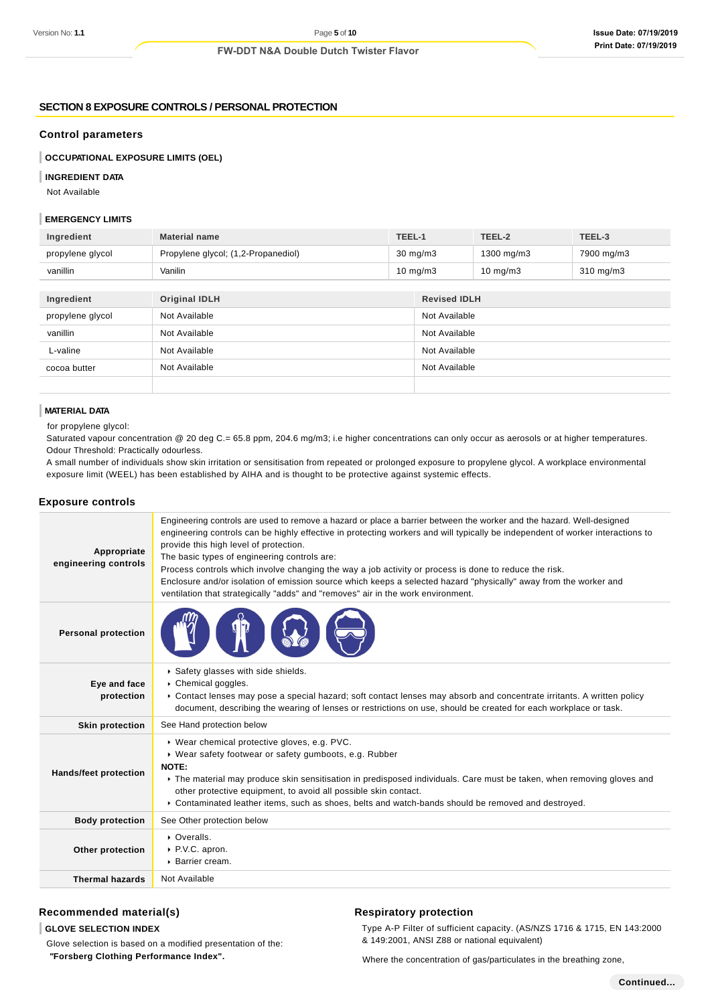### **SECTION 8 EXPOSURE CONTROLS / PERSONAL PROTECTION**

#### **Control parameters**

**OCCUPATIONAL EXPOSURE LIMITS (OEL)**

### **INGREDIENT DATA**

Not Available

## **EMERGENCY LIMITS**

| Ingredient       | <b>Material name</b>                | TEEL-1            |                     | TEEL-2            | TEEL-3         |
|------------------|-------------------------------------|-------------------|---------------------|-------------------|----------------|
| propylene glycol | Propylene glycol; (1,2-Propanediol) | $30 \text{ mg/m}$ |                     | 1300 mg/m3        | 7900 mg/m3     |
| vanillin         | Vanilin                             | $10 \text{ mg/m}$ |                     | $10 \text{ mg/m}$ | $310$ mg/m $3$ |
|                  |                                     |                   |                     |                   |                |
| Ingredient       | <b>Original IDLH</b>                |                   | <b>Revised IDLH</b> |                   |                |
| propylene glycol | Not Available                       |                   | Not Available       |                   |                |

| propyrene grycor | <b>INUL AVAIIADIE</b> | <b>INUL AVAIIADIE</b> |
|------------------|-----------------------|-----------------------|
| vanillin         | Not Available         | Not Available         |
| L-valine         | Not Available         | Not Available         |
| cocoa butter     | Not Available         | Not Available         |
|                  |                       |                       |

## **MATERIAL DATA**

for propylene glycol:

Saturated vapour concentration @ 20 deg C.= 65.8 ppm, 204.6 mg/m3; i.e higher concentrations can only occur as aerosols or at higher temperatures. Odour Threshold: Practically odourless.

A small number of individuals show skin irritation or sensitisation from repeated or prolonged exposure to propylene glycol. A workplace environmental exposure limit (WEEL) has been established by AIHA and is thought to be protective against systemic effects.

### **Exposure controls**

| Appropriate<br>engineering controls | Engineering controls are used to remove a hazard or place a barrier between the worker and the hazard. Well-designed<br>engineering controls can be highly effective in protecting workers and will typically be independent of worker interactions to<br>provide this high level of protection.<br>The basic types of engineering controls are:<br>Process controls which involve changing the way a job activity or process is done to reduce the risk.<br>Enclosure and/or isolation of emission source which keeps a selected hazard "physically" away from the worker and<br>ventilation that strategically "adds" and "removes" air in the work environment. |
|-------------------------------------|--------------------------------------------------------------------------------------------------------------------------------------------------------------------------------------------------------------------------------------------------------------------------------------------------------------------------------------------------------------------------------------------------------------------------------------------------------------------------------------------------------------------------------------------------------------------------------------------------------------------------------------------------------------------|
| <b>Personal protection</b>          |                                                                                                                                                                                                                                                                                                                                                                                                                                                                                                                                                                                                                                                                    |
| Eye and face<br>protection          | Safety glasses with side shields.<br>Chemical goggles.<br>▶ Contact lenses may pose a special hazard; soft contact lenses may absorb and concentrate irritants. A written policy<br>document, describing the wearing of lenses or restrictions on use, should be created for each workplace or task.                                                                                                                                                                                                                                                                                                                                                               |
| <b>Skin protection</b>              | See Hand protection below                                                                                                                                                                                                                                                                                                                                                                                                                                                                                                                                                                                                                                          |
| <b>Hands/feet protection</b>        | ▶ Wear chemical protective gloves, e.g. PVC.<br>▶ Wear safety footwear or safety gumboots, e.g. Rubber<br>NOTE:<br>The material may produce skin sensitisation in predisposed individuals. Care must be taken, when removing gloves and<br>other protective equipment, to avoid all possible skin contact.<br>▶ Contaminated leather items, such as shoes, belts and watch-bands should be removed and destroyed.                                                                                                                                                                                                                                                  |
| <b>Body protection</b>              | See Other protection below                                                                                                                                                                                                                                                                                                                                                                                                                                                                                                                                                                                                                                         |
| Other protection                    | • Overalls.<br>▶ P.V.C. apron.<br>▶ Barrier cream.                                                                                                                                                                                                                                                                                                                                                                                                                                                                                                                                                                                                                 |
| <b>Thermal hazards</b>              | Not Available                                                                                                                                                                                                                                                                                                                                                                                                                                                                                                                                                                                                                                                      |

# **Recommended material(s)**

**GLOVE SELECTION INDEX**

Glove selection is based on a modified presentation of the:  **"Forsberg Clothing Performance Index".**

### **Respiratory protection**

Type A-P Filter of sufficient capacity. (AS/NZS 1716 & 1715, EN 143:2000 & 149:2001, ANSI Z88 or national equivalent)

Where the concentration of gas/particulates in the breathing zone,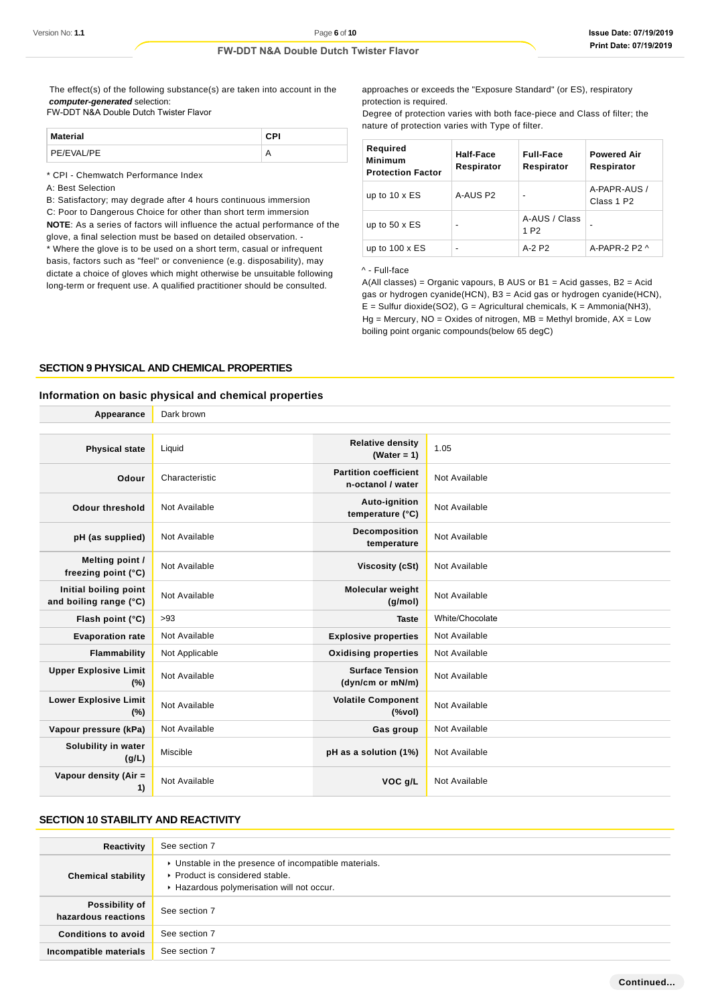The effect(s) of the following substance(s) are taken into account in the **computer-generated** selection:

#### FW-DDT N&A Double Dutch Twister Flavor

| <b>Material</b> | CPI |
|-----------------|-----|
| PE/EVAL/PE      |     |

\* CPI - Chemwatch Performance Index

A: Best Selection

B: Satisfactory; may degrade after 4 hours continuous immersion C: Poor to Dangerous Choice for other than short term immersion **NOTE**: As a series of factors will influence the actual performance of the glove, a final selection must be based on detailed observation. -

\* Where the glove is to be used on a short term, casual or infrequent basis, factors such as "feel" or convenience (e.g. disposability), may dictate a choice of gloves which might otherwise be unsuitable following long-term or frequent use. A qualified practitioner should be consulted.

approaches or exceeds the "Exposure Standard" (or ES), respiratory protection is required.

Degree of protection varies with both face-piece and Class of filter; the nature of protection varies with Type of filter.

| Required<br><b>Minimum</b><br><b>Protection Factor</b> | Half-Face<br>Respirator  | <b>Full-Face</b><br>Respirator    | <b>Powered Air</b><br>Respirator       |
|--------------------------------------------------------|--------------------------|-----------------------------------|----------------------------------------|
| up to $10 \times ES$                                   | A-AUS P2                 | $\overline{\phantom{a}}$          | A-PAPR-AUS /<br>Class 1 P <sub>2</sub> |
| up to $50 \times ES$                                   | $\overline{\phantom{0}}$ | A-AUS / Class<br>1 P <sub>2</sub> |                                        |
| up to $100 \times ES$                                  | $\overline{\phantom{0}}$ | $A-2P2$                           | A-PAPR-2 P2 $\land$                    |

#### ^ - Full-face

A(All classes) = Organic vapours, B AUS or  $B1$  = Acid gasses,  $B2$  = Acid gas or hydrogen cyanide(HCN), B3 = Acid gas or hydrogen cyanide(HCN),  $E =$  Sulfur dioxide(SO2),  $G =$  Agricultural chemicals,  $K =$  Ammonia(NH3),  $Hg =$  Mercury, NO = Oxides of nitrogen, MB = Methyl bromide, AX = Low boiling point organic compounds(below 65 degC)

#### **SECTION 9 PHYSICAL AND CHEMICAL PROPERTIES**

# **Information on basic physical and chemical properties**

| Appearance                                      | Dark brown     |                                                                               |                 |
|-------------------------------------------------|----------------|-------------------------------------------------------------------------------|-----------------|
|                                                 |                |                                                                               |                 |
| <b>Physical state</b>                           | Liquid         | <b>Relative density</b><br>(Water = $1$ )                                     | 1.05            |
| Odour                                           | Characteristic | <b>Partition coefficient</b><br>n-octanol / water                             | Not Available   |
| <b>Odour threshold</b>                          | Not Available  | Auto-ignition<br>temperature (°C)                                             | Not Available   |
| pH (as supplied)                                | Not Available  | Decomposition<br>temperature                                                  | Not Available   |
| <b>Melting point /</b><br>freezing point (°C)   | Not Available  | Viscosity (cSt)                                                               | Not Available   |
| Initial boiling point<br>and boiling range (°C) | Not Available  | <b>Molecular weight</b><br>(g/mol)                                            | Not Available   |
| Flash point (°C)                                | >93            | <b>Taste</b>                                                                  | White/Chocolate |
| <b>Evaporation rate</b>                         | Not Available  | <b>Explosive properties</b>                                                   | Not Available   |
| <b>Flammability</b>                             | Not Applicable | <b>Oxidising properties</b>                                                   | Not Available   |
| <b>Upper Explosive Limit</b><br>(%)             | Not Available  | <b>Surface Tension</b><br>(dyn/cm or mN/m)                                    | Not Available   |
| <b>Lower Explosive Limit</b><br>(%)             | Not Available  | <b>Volatile Component</b><br>$(% \mathcal{L}^{\prime }\mathcal{N}^{\prime })$ | Not Available   |
| Vapour pressure (kPa)                           | Not Available  | Gas group                                                                     | Not Available   |
| Solubility in water<br>(g/L)                    | Miscible       | pH as a solution (1%)                                                         | Not Available   |
| Vapour density (Air =<br>1)                     | Not Available  | VOC g/L                                                                       | Not Available   |

# **SECTION 10 STABILITY AND REACTIVITY**

| Reactivity                                   | See section 7                                                                                                                        |
|----------------------------------------------|--------------------------------------------------------------------------------------------------------------------------------------|
| <b>Chemical stability</b>                    | • Unstable in the presence of incompatible materials.<br>▶ Product is considered stable.<br>Hazardous polymerisation will not occur. |
| <b>Possibility of</b><br>hazardous reactions | See section 7                                                                                                                        |
| <b>Conditions to avoid</b>                   | See section 7                                                                                                                        |
| Incompatible materials                       | See section 7                                                                                                                        |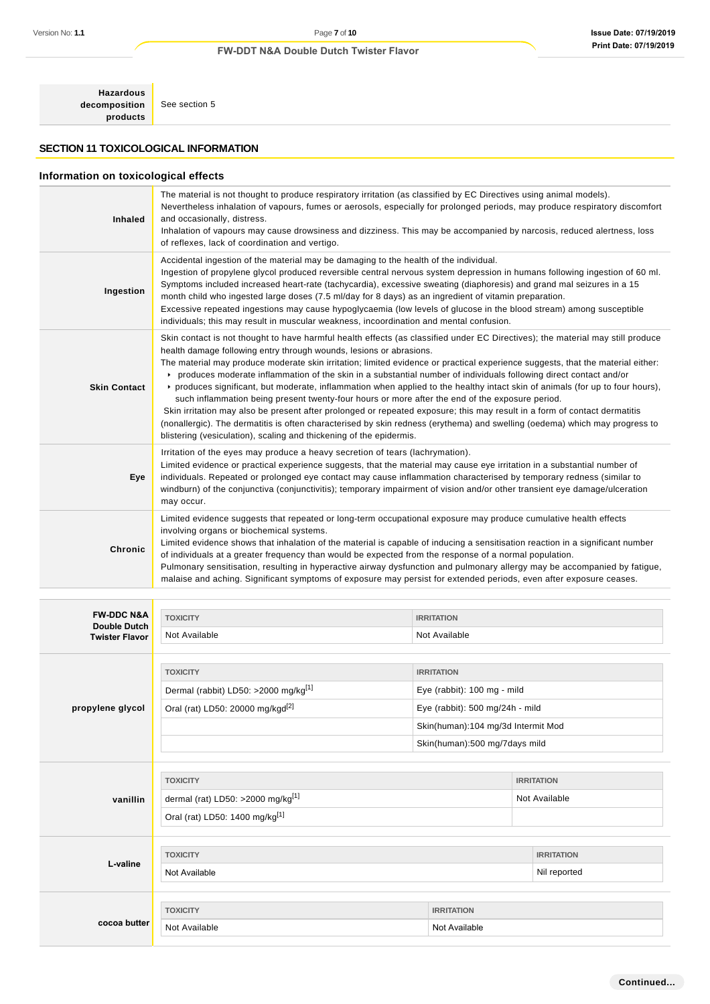**Hazardous decomposition products**

See section 5

# **SECTION 11 TOXICOLOGICAL INFORMATION**

# **Information on toxicological effects**

| <b>Inhaled</b>      | The material is not thought to produce respiratory irritation (as classified by EC Directives using animal models).<br>Nevertheless inhalation of vapours, fumes or aerosols, especially for prolonged periods, may produce respiratory discomfort<br>and occasionally, distress.<br>Inhalation of vapours may cause drowsiness and dizziness. This may be accompanied by narcosis, reduced alertness, loss<br>of reflexes, lack of coordination and vertigo.                                                                                                                                                                                                                                                                                                                                                                                                                                                                                                                                                                        |
|---------------------|--------------------------------------------------------------------------------------------------------------------------------------------------------------------------------------------------------------------------------------------------------------------------------------------------------------------------------------------------------------------------------------------------------------------------------------------------------------------------------------------------------------------------------------------------------------------------------------------------------------------------------------------------------------------------------------------------------------------------------------------------------------------------------------------------------------------------------------------------------------------------------------------------------------------------------------------------------------------------------------------------------------------------------------|
| Ingestion           | Accidental ingestion of the material may be damaging to the health of the individual.<br>Ingestion of propylene glycol produced reversible central nervous system depression in humans following ingestion of 60 ml.<br>Symptoms included increased heart-rate (tachycardia), excessive sweating (diaphoresis) and grand mal seizures in a 15<br>month child who ingested large doses (7.5 ml/day for 8 days) as an ingredient of vitamin preparation.<br>Excessive repeated ingestions may cause hypoglycaemia (low levels of glucose in the blood stream) among susceptible<br>individuals; this may result in muscular weakness, incoordination and mental confusion.                                                                                                                                                                                                                                                                                                                                                             |
| <b>Skin Contact</b> | Skin contact is not thought to have harmful health effects (as classified under EC Directives); the material may still produce<br>health damage following entry through wounds, lesions or abrasions.<br>The material may produce moderate skin irritation; limited evidence or practical experience suggests, that the material either:<br>produces moderate inflammation of the skin in a substantial number of individuals following direct contact and/or<br>▶ produces significant, but moderate, inflammation when applied to the healthy intact skin of animals (for up to four hours),<br>such inflammation being present twenty-four hours or more after the end of the exposure period.<br>Skin irritation may also be present after prolonged or repeated exposure; this may result in a form of contact dermatitis<br>(nonallergic). The dermatitis is often characterised by skin redness (erythema) and swelling (oedema) which may progress to<br>blistering (vesiculation), scaling and thickening of the epidermis. |
| Eye                 | Irritation of the eyes may produce a heavy secretion of tears (lachrymation).<br>Limited evidence or practical experience suggests, that the material may cause eye irritation in a substantial number of<br>individuals. Repeated or prolonged eye contact may cause inflammation characterised by temporary redness (similar to<br>windburn) of the conjunctiva (conjunctivitis); temporary impairment of vision and/or other transient eye damage/ulceration<br>may occur.                                                                                                                                                                                                                                                                                                                                                                                                                                                                                                                                                        |
| Chronic             | Limited evidence suggests that repeated or long-term occupational exposure may produce cumulative health effects<br>involving organs or biochemical systems.<br>Limited evidence shows that inhalation of the material is capable of inducing a sensitisation reaction in a significant number<br>of individuals at a greater frequency than would be expected from the response of a normal population.<br>Pulmonary sensitisation, resulting in hyperactive airway dysfunction and pulmonary allergy may be accompanied by fatigue,<br>malaise and aching. Significant symptoms of exposure may persist for extended periods, even after exposure ceases.                                                                                                                                                                                                                                                                                                                                                                          |

| <b>FW-DDC N&amp;A</b><br><b>Double Dutch</b> | <b>TOXICITY</b>                                  | <b>IRRITATION</b>                  |                   |
|----------------------------------------------|--------------------------------------------------|------------------------------------|-------------------|
| <b>Twister Flavor</b>                        | Not Available                                    | Not Available                      |                   |
|                                              |                                                  |                                    |                   |
|                                              | <b>TOXICITY</b><br><b>IRRITATION</b>             |                                    |                   |
|                                              | Dermal (rabbit) LD50: >2000 mg/kg <sup>[1]</sup> | Eye (rabbit): 100 mg - mild        |                   |
| propylene glycol                             | Oral (rat) LD50: 20000 mg/kgd <sup>[2]</sup>     | Eye (rabbit): 500 mg/24h - mild    |                   |
|                                              |                                                  | Skin(human):104 mg/3d Intermit Mod |                   |
|                                              |                                                  | Skin(human):500 mg/7days mild      |                   |
|                                              |                                                  |                                    |                   |
|                                              | <b>TOXICITY</b>                                  |                                    | <b>IRRITATION</b> |
| vanillin                                     | dermal (rat) LD50: >2000 mg/kg <sup>[1]</sup>    |                                    | Not Available     |
|                                              | Oral (rat) LD50: 1400 mg/kg[1]                   |                                    |                   |
|                                              |                                                  |                                    |                   |
| L-valine                                     | <b>TOXICITY</b>                                  |                                    | <b>IRRITATION</b> |
|                                              | Not Available                                    |                                    | Nil reported      |
|                                              |                                                  |                                    |                   |
| cocoa butter                                 | <b>TOXICITY</b><br><b>IRRITATION</b>             |                                    |                   |
|                                              | Not Available<br>Not Available                   |                                    |                   |
|                                              |                                                  |                                    |                   |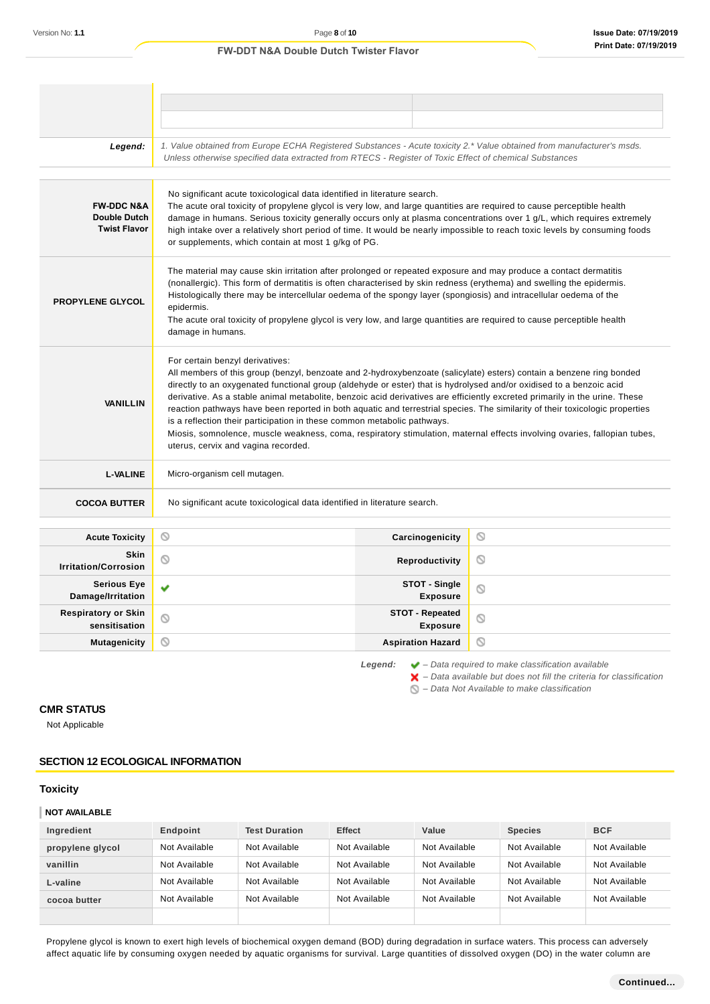# Legend: 1. Value obtained from Europe ECHA Registered Substances - Acute toxicity 2.\* Value obtained from manufacturer's msds. Unless otherwise specified data extracted from RTECS - Register of Toxic Effect of chemical Substances No significant acute toxicological data identified in literature search. **FW-DDC N&A** The acute oral toxicity of propylene glycol is very low, and large quantities are required to cause perceptible health **Double Dutch** damage in humans. Serious toxicity generally occurs only at plasma concentrations over 1 g/L, which requires extremely **Twist Flavor** high intake over a relatively short period of time. It would be nearly impossible to reach toxic levels by consuming foods or supplements, which contain at most 1 g/kg of PG. The material may cause skin irritation after prolonged or repeated exposure and may produce a contact dermatitis (nonallergic). This form of dermatitis is often characterised by skin redness (erythema) and swelling the epidermis. Histologically there may be intercellular oedema of the spongy layer (spongiosis) and intracellular oedema of the **PROPYLENE GLYCOL** epidermis. The acute oral toxicity of propylene glycol is very low, and large quantities are required to cause perceptible health damage in humans. For certain benzyl derivatives: All members of this group (benzyl, benzoate and 2-hydroxybenzoate (salicylate) esters) contain a benzene ring bonded directly to an oxygenated functional group (aldehyde or ester) that is hydrolysed and/or oxidised to a benzoic acid derivative. As a stable animal metabolite, benzoic acid derivatives are efficiently excreted primarily in the urine. These **VANILLIN** reaction pathways have been reported in both aquatic and terrestrial species. The similarity of their toxicologic properties is a reflection their participation in these common metabolic pathways. Miosis, somnolence, muscle weakness, coma, respiratory stimulation, maternal effects involving ovaries, fallopian tubes, uterus, cervix and vagina recorded. **L-VALINE** Micro-organism cell mutagen. **COCOA BUTTER** No significant acute toxicological data identified in literature search. **Acute Toxicity Carcinogenicity**  $\circ$ **Skin I**rritation/Corrosion **Community Reproductivity**  $\circ$ **Serious Eye STOT - Single** Ÿ  $\circ$ **Damage/Irritation Exposure Respiratory or Skin STOT - Repeated**  $\circ$  $\circlearrowright$ **sensitisation Exposure Mutagenicity CONSISTENT CONSISTENT ASPIRATION HAZARDIA**  $\circ$ **Legend:** – Data required to make classification available

 $\blacktriangleright$  – Data available but does not fill the criteria for classification

 $\bigcirc$  – Data Not Available to make classification

# **CMR STATUS**

Not Applicable

# **SECTION 12 ECOLOGICAL INFORMATION**

### **Toxicity**

#### **NOT AVAILABLE**

| Ingredient       | Endpoint      | <b>Test Duration</b> | <b>Effect</b> | Value         | <b>Species</b> | <b>BCF</b>    |
|------------------|---------------|----------------------|---------------|---------------|----------------|---------------|
| propylene glycol | Not Available | Not Available        | Not Available | Not Available | Not Available  | Not Available |
| vanillin         | Not Available | Not Available        | Not Available | Not Available | Not Available  | Not Available |
| L-valine         | Not Available | Not Available        | Not Available | Not Available | Not Available  | Not Available |
| cocoa butter     | Not Available | Not Available        | Not Available | Not Available | Not Available  | Not Available |
|                  |               |                      |               |               |                |               |

Propylene glycol is known to exert high levels of biochemical oxygen demand (BOD) during degradation in surface waters. This process can adversely affect aquatic life by consuming oxygen needed by aquatic organisms for survival. Large quantities of dissolved oxygen (DO) in the water column are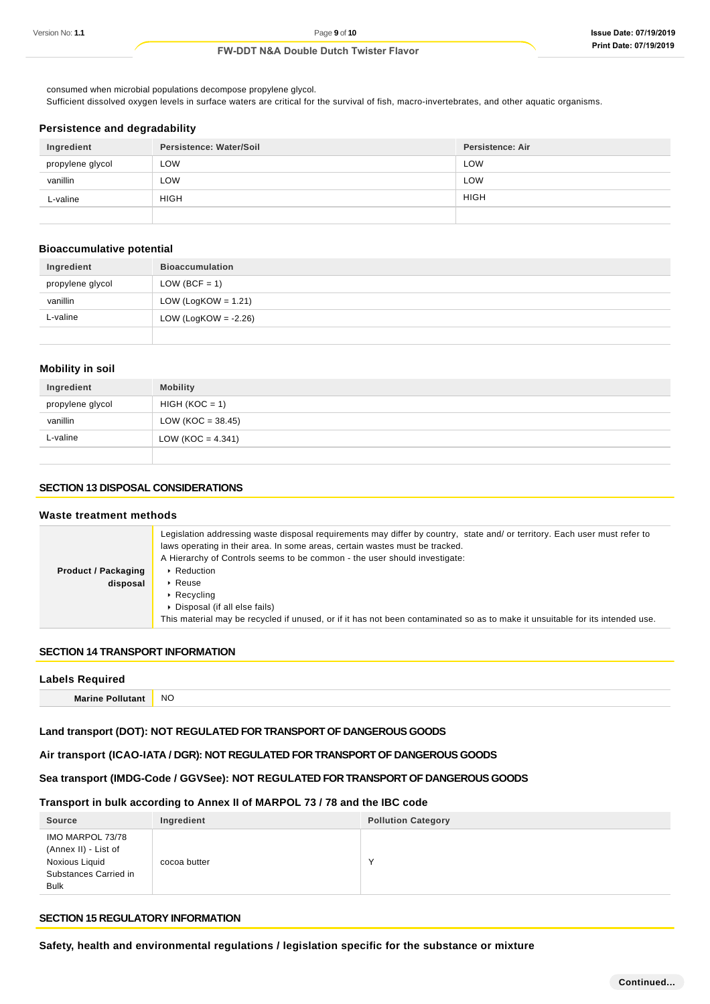consumed when microbial populations decompose propylene glycol. Sufficient dissolved oxygen levels in surface waters are critical for the survival of fish, macro-invertebrates, and other aquatic organisms.

### **Persistence and degradability**

| Ingredient       | Persistence: Water/Soil | <b>Persistence: Air</b> |
|------------------|-------------------------|-------------------------|
| propylene glycol | LOW                     | <b>LOW</b>              |
| vanillin         | LOW                     | LOW                     |
| L-valine         | <b>HIGH</b>             | <b>HIGH</b>             |
|                  |                         |                         |

# **Bioaccumulative potential**

| Ingredient       | <b>Bioaccumulation</b>  |
|------------------|-------------------------|
| propylene glycol | $LOW (BCF = 1)$         |
| vanillin         | LOW (LogKOW = $1.21$ )  |
| L-valine         | LOW (LogKOW = $-2.26$ ) |
|                  |                         |

# **Mobility in soil**

| Ingredient       | <b>Mobility</b>     |
|------------------|---------------------|
| propylene glycol | $HIGH (KOC = 1)$    |
| vanillin         | $LOW (KOC = 38.45)$ |
| L-valine         | $LOW (KOC = 4.341)$ |
|                  |                     |

# **SECTION 13 DISPOSAL CONSIDERATIONS**

#### **Waste treatment methods Product / Packaging disposal** Legislation addressing waste disposal requirements may differ by country, state and/ or territory. Each user must refer to laws operating in their area. In some areas, certain wastes must be tracked. A Hierarchy of Controls seems to be common - the user should investigate: **Reduction** ▶ Reuse ▶ Recycling Disposal (if all else fails) This material may be recycled if unused, or if it has not been contaminated so as to make it unsuitable for its intended use.

# **SECTION 14 TRANSPORT INFORMATION**

| <b>Labels Required</b>  |           |
|-------------------------|-----------|
| <b>Marine Pollutant</b> | <b>NO</b> |

# **Land transport (DOT): NOT REGULATED FOR TRANSPORT OF DANGEROUS GOODS**

# **Air transport (ICAO-IATA / DGR): NOT REGULATED FOR TRANSPORT OF DANGEROUS GOODS**

# **Sea transport (IMDG-Code / GGVSee): NOT REGULATED FOR TRANSPORT OF DANGEROUS GOODS**

## **Transport in bulk according to Annex II of MARPOL 73 / 78 and the IBC code**

| <b>Source</b>                                                                                      | Ingredient   | <b>Pollution Category</b> |
|----------------------------------------------------------------------------------------------------|--------------|---------------------------|
| IMO MARPOL 73/78<br>(Annex II) - List of<br>Noxious Liquid<br>Substances Carried in<br><b>Bulk</b> | cocoa butter |                           |

# **SECTION 15 REGULATORY INFORMATION**

**Safety, health and environmental regulations / legislation specific for the substance or mixture**